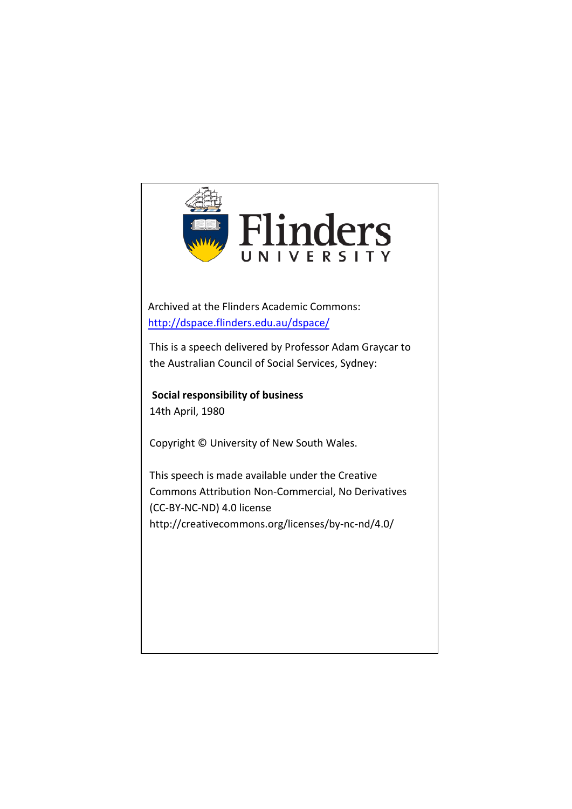

Archived at the Flinders Academic Commons: <http://dspace.flinders.edu.au/dspace/>

This is a speech delivered by Professor Adam Graycar to the Australian Council of Social Services, Sydney:

**Social responsibility of business** 14th April, 1980

Copyright © University of New South Wales.

This speech is made available under the Creative Commons Attribution Non-Commercial, No Derivatives (CC-BY-NC-ND) 4.0 license http://creativecommons.org/licenses/by-nc-nd/4.0/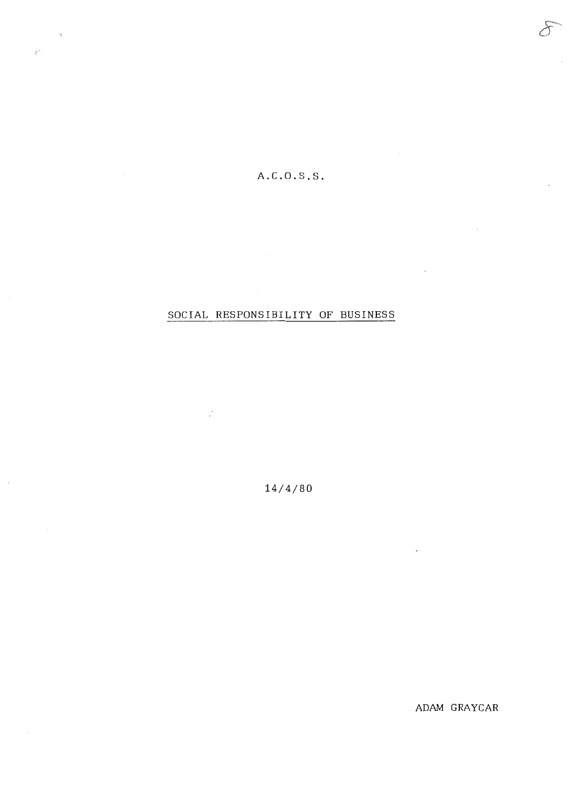## A.C.O.S.S.

 $\vec{z}$ 

 $\sim$ 

## SOCIAL RESPONSIBILITY OF BUSINESS

 $\mathbb{R}^{\mathbb{N}}$ 

14/4/80

ADAM GRAYCAR

 $\sim 10^7$ 

 $\overline{\phantom{a}}$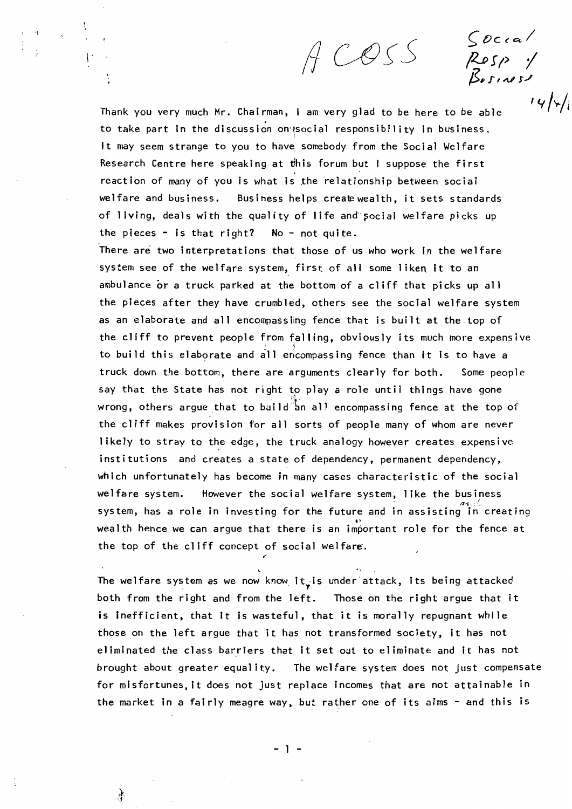ACOSS

 $S$ *O*ccal

~r1, *I*  \$>1- *.r'* ,.\_,, *s./* 

 $I \vee I \vee I$ 

Thank you very much Mr. Chairman, I am very glad to be here to be able to take part in the discussion on a social responsibility in business. It may seem strange to you to have somebody from the Social Welfare Research Centre here speaking at this forum but I suppose the first reaction of many of you is what is the relationship between social welfare and business. Business helps create wealth, it sets standards of living, deals with the quality of life and social welfare picks up the pieces - is that right? No - not quite.

There are two interpretations that those of us who work in the welfare system see of the welfare system, first of all some liken it to an ambulance or a truck parked at the bottom of a cliff that picks up all the pieces after they have crumbled, others see the social welfare system as an elaborate and all encompassing fence that is built at the top of the cliff to prevent people from falling, obviously its much more expensive to build this elaborate and all encompassing fence than it is to have a truck down the bottom, there are arguments clearly for both. Some people say that the State has not right to play a role until things have gone wrong, others argue that to build an all encompassing fence at the top of the cliff makes provision for all sorts of people many of whom are never likely to stray to the edge, the truck analogy however creates expensive institutions and creates a state of dependency, permanent dependency, which unfortunately has become in many cases characteristic of the social welfare system. However the social welfare system, like the business system, has a role in investing for the future and in assisting in creating wealth hence we can arque that there is an important role for the fence at the top of the cliff concept of social welfare.

The welfare system as we now know it, is under attack, its being attacked both from the right and from the left. Those on the right argue that it is inefficient, that it is wasteful, that it is morally repugnant while those on the left argue that it has not transformed society, it has not eliminated the class barriers that it set out to eliminate and it has not brought about greater equality. The welfare system does not just compensate for misfortunes, it does not just replace incomes that are not attainable in the market in a fairly meagre way, but rather one of its aims - and this is

- 1 -

*,I* 

ो।<br>स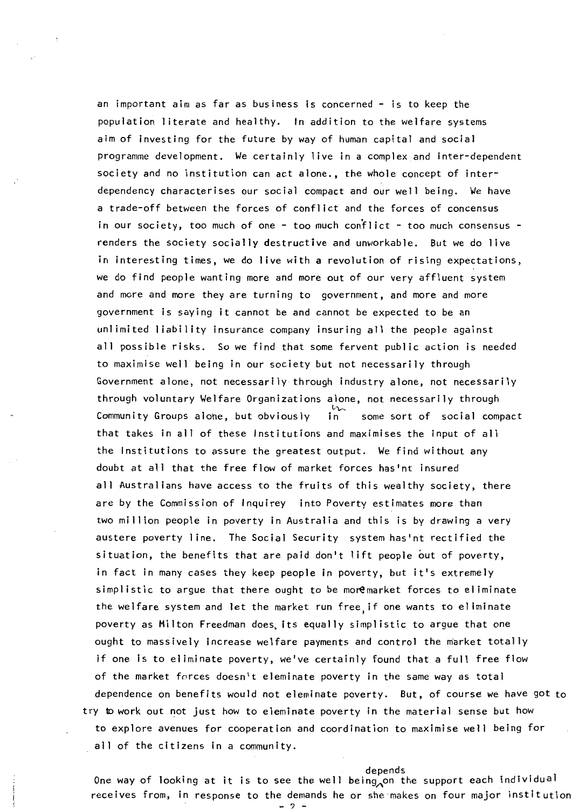an important aim as far as business is concerned  $-$  is to keep the population literate and healthy. In addition to the welfare systems aim of investing for the future by way of human capital and social programme development. We certainly live in a complex and inter-dependent society and no institution can act alone., the whole concept of interdependency characterises our social compact and our well being. We have a trade-off between the forces of conflict and the forces of concensus in our society, too much of one - too much conflict - too much consensus renders the society socially destructive and unworkable. But we do live in interesting times, we do live with a revolution of rising expectations, we do find people wanting more and more out of our very affluent system and more and more they are turning to government, and more and more government is saying it cannot be and cannot be expected to be an unlimited liability insurance company insuring all the people against all possible risks. So we find that some fervent public action is needed to maximise well being in our society but not necessarily through Government alone, not necessarily through industry alone, not necessarily through voluntary Welfare Organizations alone, not necessarily through<br>Community Groups alone, but obviously in some sort of social compact Community Groups alohe, but obviously that takes in all of these Institutions and maximises the input of all the Institutions to assure the greatest output. We find without any doubt at all that the free flow of market forces has'nt insured all Australians have access to the fruits of this wealthy society, there are by the Commission of lnquirey into Poverty estimates more than two million people in poverty in Australia and this is by drawing a very austere poverty line. The Social Security system has'nt rectified the situation, the benefits that are paid don't lift people out of poverty, in fact in many cases they keep people in poverty, but it's extremely  $simplistic$  to argue that there ought to be moremarket forces to eliminate the welfare system and let the market run free, if one wants to eliminate poverty as Milton Freedman does, its equally simplistic to argue that one ought to massively increase welfare payments and control the market totally if one is to eliminate poverty, we've certainly found that a full free flow of the market forces doesn't eleminate poverty in the same way as total dependence on benefits would not eleminate poverty. But, of course we have got to try to work out not just how to eleminate poverty in the material sense but how to explore avenues for cooperation and coordination to maximise well being for all of the citizens In a community.

depends<br>One way of looking at it is to see the well being on the support each individual receives from, In response to the demands he or she makes on four major institution!

- ? -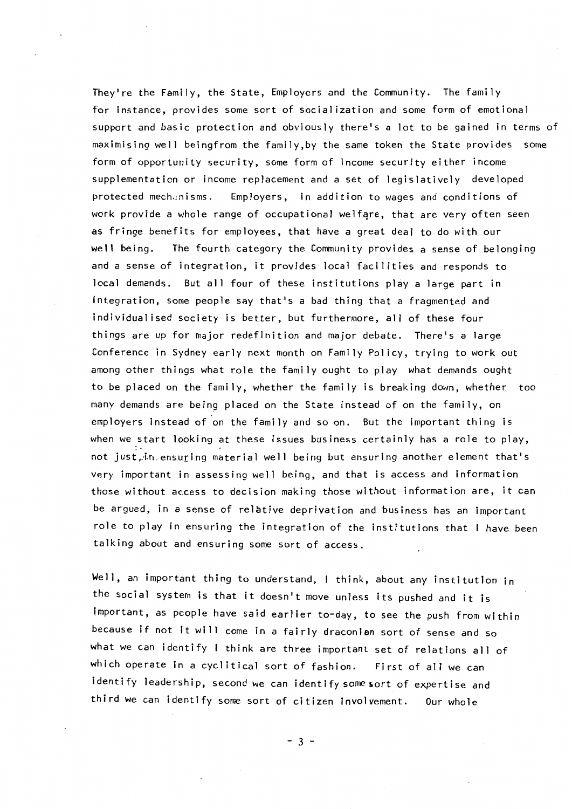They're the Family, the State, Employers and the Community. The family for instance, provides some sort of socialization and some form of emotional support and basic protection and obviously there's a lot to be gained in terms of maximising well beingfrom the family,by the same token the State provides some form of opportunity security, some form of income security either income supplementation or income replacement and a set of legislatively developed protected mechanisms. Employers, in addition to wages and conditions of work provide a whole range of occupational welfare, that are very often seen as fringe benefits for employees, that have a great deal to do with our **well** being. The fourth category the Community provides a sense of belonging and a sense of integration, it provides local facilities and responds to local demands. But all four of these institutions play a large part in integration, some people say that's a bad thing that a fragmented and individualised society is better, but furthermore, all of these four things are up for major redefinition and major debate. There's a large Conference in Sydney early next month on Family Policy, trying to work out among other things what role the family ought to play what demands ought to be placed on the family, whether the family is breaking down, whether too many demands are being placed on the State instead of on the family, on employers instead of on the family and so on. But the important thing is when we start looking at these issues business certainly has a role to play, not just, in ensuring material well being but ensuring another element that's very important in assessing well being, and that is access and information those without access to decision making those without information are, it can be argued, in a sense of relative deprivation and business has an important role to play in ensuring the integration of the institutions that I have been talking about and ensuring some sort of access.

Well, an important thing to understand, I think, about any institution in the social system is that it doesn't move unless its pushed and it is important, as people have said earlier to-day, to see the push from within because if not it will come in a fairly draconian sort of sense and so what we can identify I think are three important set of relations all of which operate in a cyclitical sort of fashion. First of all we can identify leadership, second we can identify some sort of expertise and third we can identify some sort of citizen Involvement. Our whole

- 3 -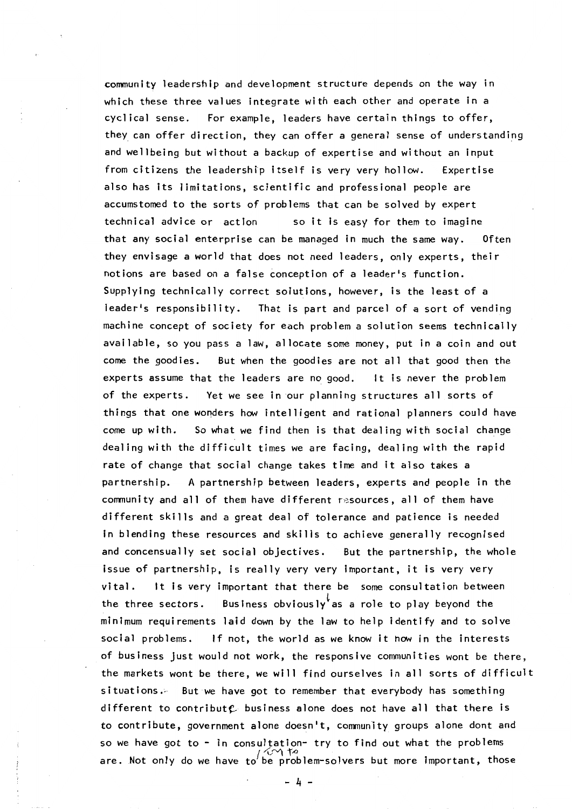community leadership and development structure depends on the way in which these three values integrate with each other and operate in a cyclical sense. For example, leaders have certain things to offer, they can offer direction, they can offer a general sense of understanding and wellbeing but without a backup of expertise and without an input from citizens the leadership itself is very very hollow. Expertise also has Its limitations, scientific and professional people are accumstomed to the sorts of problems that can be solved by expert technical advice or action so it is easy for them to imagine that any social enterprise can be managed in much the same way. Often they envisage a world that does not need leaders, only experts, their notions are based on a false conception of a leader's function. Supplying technically correct solutions, however, is the least of a leader's responsibility. That is part and parcel of a sort of vending machine concept of society for each problem a solution seems technically available, so you pass a law, allocate some money, put in a coin and out come the goodies. But when the goodies are not all that good then the experts assume that the leaders are no good. It is never the problem of the experts. Yet we see in our planning structures all sorts of things that one wonders how intelligent and rational planners could have come up with. So what we find then is that dealing with social change dealing with the difficult times we are facing, dealing with the rapid rate of change that social change takes time and it also takes a partnership. A partnership between leaders, experts and people in the community and all of them have different resources, all of them have different skills and a great deal of tolerance and patience is needed in blending these resources and skills to achieve generally recognised and concensually set social objectives. But the partnership, the whole issue of partnership, is really very very important, it is very very vital. It is very important that there be some consultation between the three sectors. Business obviously as a role to play beyond the minimum requirements laid down by the law to help identify and to solve social problems. If not, the world as we know it how in the interests of business Just would not work, the responsive communities wont be there, the markets wont be there, we will find ourselves in all sorts of difficult situations. But we have got to remember that everybody has something different to contribut $e$  business alone does not have all that there is to contribute, government alone doesn't, community groups alone dont and so we have got to - in consultation- try to find out what the problems  $\int_{\gamma}$  *i*... are. Not only do we have to be problem-solvers but more important, those

- 4 -